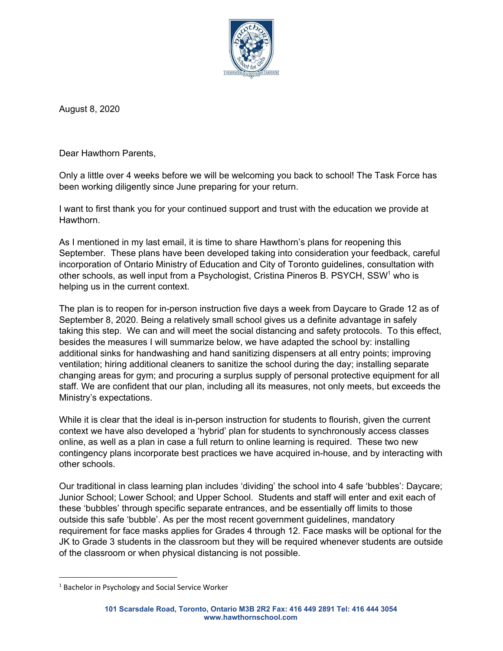

August 8, 2020

Dear Hawthorn Parents,

Only a little over 4 weeks before we will be welcoming you back to school! The Task Force has been working diligently since June preparing for your return.

I want to first thank you for your continued support and trust with the education we provide at Hawthorn.

As I mentioned in my last email, it is time to share Hawthorn's plans for reopening this September. These plans have been developed taking into consideration your feedback, careful incorporation of Ontario Ministry of Education and City of Toronto guidelines, consultation with other schools, as well input from a Psychologist, Cristina Pineros B. PSYCH, SSW<sup>1</sup> who is helping us in the current context.

The plan is to reopen for in-person instruction five days a week from Daycare to Grade 12 as of September 8, 2020. Being a relatively small school gives us a definite advantage in safely taking this step. We can and will meet the social distancing and safety protocols. To this effect, besides the measures I will summarize below, we have adapted the school by: installing additional sinks for handwashing and hand sanitizing dispensers at all entry points; improving ventilation; hiring additional cleaners to sanitize the school during the day; installing separate changing areas for gym; and procuring a surplus supply of personal protective equipment for all staff. We are confident that our plan, including all its measures, not only meets, but exceeds the Ministry's expectations.

While it is clear that the ideal is in-person instruction for students to flourish, given the current context we have also developed a 'hybrid' plan for students to synchronously access classes online, as well as a plan in case a full return to online learning is required. These two new contingency plans incorporate best practices we have acquired in-house, and by interacting with other schools.

Our traditional in class learning plan includes 'dividing' the school into 4 safe 'bubbles': Daycare; Junior School; Lower School; and Upper School. Students and staff will enter and exit each of these 'bubbles' through specific separate entrances, and be essentially off limits to those outside this safe 'bubble'. As per the most recent government guidelines, mandatory requirement for face masks applies for Grades 4 through 12. Face masks will be optional for the JK to Grade 3 students in the classroom but they will be required whenever students are outside of the classroom or when physical distancing is not possible.

<sup>&</sup>lt;sup>1</sup> Bachelor in Psychology and Social Service Worker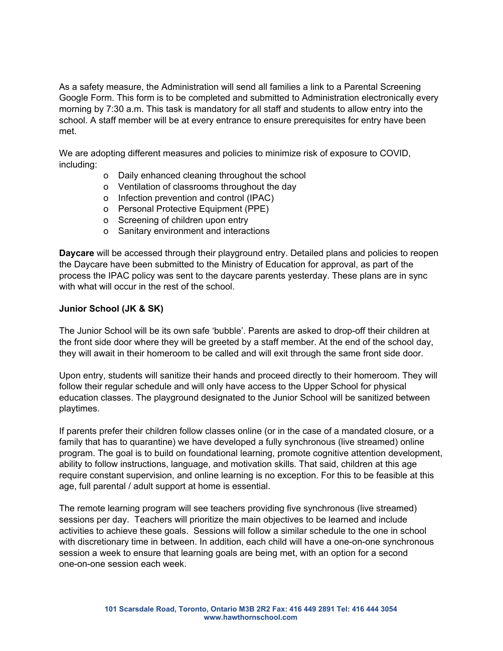As a safety measure, the Administration will send all families a link to a Parental Screening Google Form. This form is to be completed and submitted to Administration electronically every morning by 7:30 a.m. This task is mandatory for all staff and students to allow entry into the school. A staff member will be at every entrance to ensure prerequisites for entry have been met.

We are adopting different measures and policies to minimize risk of exposure to COVID, including:

- o Daily enhanced cleaning throughout the school
- o Ventilation of classrooms throughout the day
- o Infection prevention and control (IPAC)
- o Personal Protective Equipment (PPE)
- o Screening of children upon entry
- o Sanitary environment and interactions

**Daycare** will be accessed through their playground entry. Detailed plans and policies to reopen the Daycare have been submitted to the Ministry of Education for approval, as part of the process the IPAC policy was sent to the daycare parents yesterday. These plans are in sync with what will occur in the rest of the school.

## **Junior School (JK & SK)**

The Junior School will be its own safe 'bubble'. Parents are asked to drop-off their children at the front side door where they will be greeted by a staff member. At the end of the school day, they will await in their homeroom to be called and will exit through the same front side door.

Upon entry, students will sanitize their hands and proceed directly to their homeroom. They will follow their regular schedule and will only have access to the Upper School for physical education classes. The playground designated to the Junior School will be sanitized between playtimes.

If parents prefer their children follow classes online (or in the case of a mandated closure, or a family that has to quarantine) we have developed a fully synchronous (live streamed) online program. The goal is to build on foundational learning, promote cognitive attention development, ability to follow instructions, language, and motivation skills. That said, children at this age require constant supervision, and online learning is no exception. For this to be feasible at this age, full parental / adult support at home is essential.

The remote learning program will see teachers providing five synchronous (live streamed) sessions per day. Teachers will prioritize the main objectives to be learned and include activities to achieve these goals. Sessions will follow a similar schedule to the one in school with discretionary time in between. In addition, each child will have a one-on-one synchronous session a week to ensure that learning goals are being met, with an option for a second one-on-one session each week.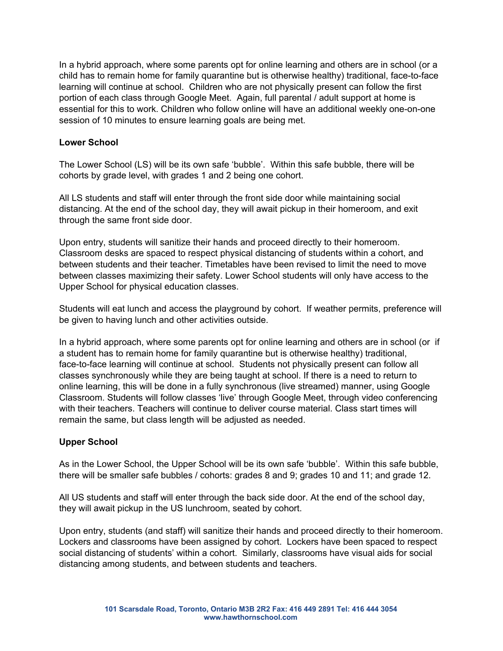In a hybrid approach, where some parents opt for online learning and others are in school (or a child has to remain home for family quarantine but is otherwise healthy) traditional, face-to-face learning will continue at school. Children who are not physically present can follow the first portion of each class through Google Meet. Again, full parental / adult support at home is essential for this to work. Children who follow online will have an additional weekly one-on-one session of 10 minutes to ensure learning goals are being met.

## **Lower School**

The Lower School (LS) will be its own safe 'bubble'. Within this safe bubble, there will be cohorts by grade level, with grades 1 and 2 being one cohort.

All LS students and staff will enter through the front side door while maintaining social distancing. At the end of the school day, they will await pickup in their homeroom, and exit through the same front side door.

Upon entry, students will sanitize their hands and proceed directly to their homeroom. Classroom desks are spaced to respect physical distancing of students within a cohort, and between students and their teacher. Timetables have been revised to limit the need to move between classes maximizing their safety. Lower School students will only have access to the Upper School for physical education classes.

Students will eat lunch and access the playground by cohort. If weather permits, preference will be given to having lunch and other activities outside.

In a hybrid approach, where some parents opt for online learning and others are in school (or if a student has to remain home for family quarantine but is otherwise healthy) traditional, face-to-face learning will continue at school. Students not physically present can follow all classes synchronously while they are being taught at school. If there is a need to return to online learning, this will be done in a fully synchronous (live streamed) manner, using Google Classroom. Students will follow classes 'live' through Google Meet, through video conferencing with their teachers. Teachers will continue to deliver course material. Class start times will remain the same, but class length will be adjusted as needed.

## **Upper School**

As in the Lower School, the Upper School will be its own safe 'bubble'. Within this safe bubble, there will be smaller safe bubbles / cohorts: grades 8 and 9; grades 10 and 11; and grade 12.

All US students and staff will enter through the back side door. At the end of the school day, they will await pickup in the US lunchroom, seated by cohort.

Upon entry, students (and staff) will sanitize their hands and proceed directly to their homeroom. Lockers and classrooms have been assigned by cohort. Lockers have been spaced to respect social distancing of students' within a cohort. Similarly, classrooms have visual aids for social distancing among students, and between students and teachers.